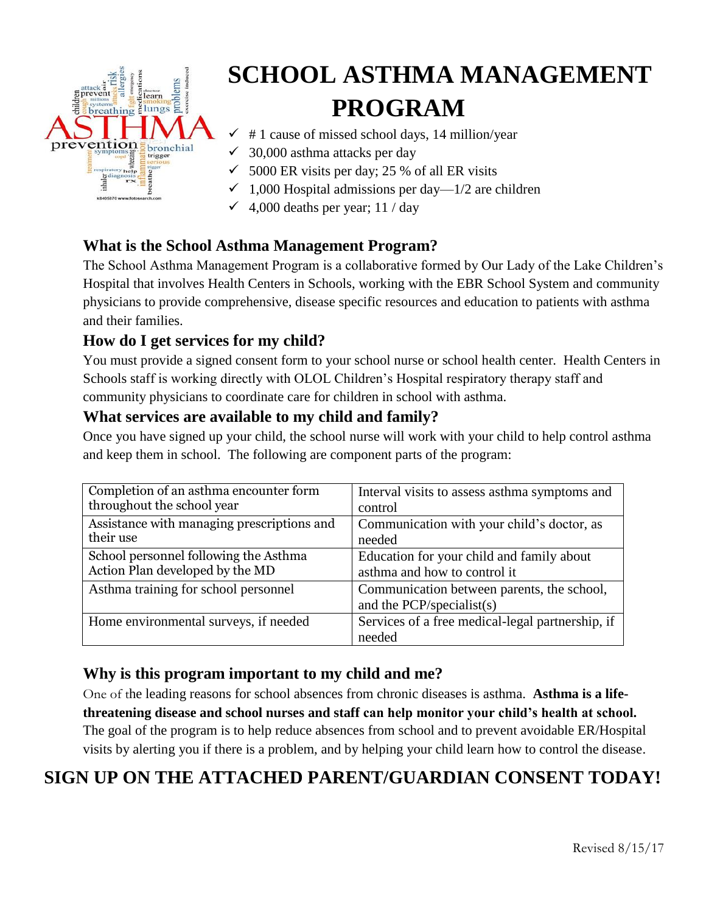

# **SCHOOL ASTHMA MANAGEMENT PROGRAM**

- $\checkmark$  # 1 cause of missed school days, 14 million/year
- $\checkmark$  30,000 asthma attacks per day
- $\checkmark$  5000 ER visits per day; 25 % of all ER visits
- $\checkmark$  1,000 Hospital admissions per day—1/2 are children
- $\checkmark$  4,000 deaths per year; 11 / day

#### **What is the School Asthma Management Program?**

The School Asthma Management Program is a collaborative formed by Our Lady of the Lake Children's Hospital that involves Health Centers in Schools, working with the EBR School System and community physicians to provide comprehensive, disease specific resources and education to patients with asthma and their families.

#### **How do I get services for my child?**

You must provide a signed consent form to your school nurse or school health center. Health Centers in Schools staff is working directly with OLOL Children's Hospital respiratory therapy staff and community physicians to coordinate care for children in school with asthma.

#### **What services are available to my child and family?**

Once you have signed up your child, the school nurse will work with your child to help control asthma and keep them in school. The following are component parts of the program:

| Completion of an asthma encounter form     | Interval visits to assess asthma symptoms and                           |
|--------------------------------------------|-------------------------------------------------------------------------|
| throughout the school year                 | control                                                                 |
| Assistance with managing prescriptions and | Communication with your child's doctor, as                              |
| their use                                  | needed                                                                  |
| School personnel following the Asthma      | Education for your child and family about                               |
| Action Plan developed by the MD            | asthma and how to control it                                            |
| Asthma training for school personnel       | Communication between parents, the school,<br>and the PCP/specialist(s) |
| Home environmental surveys, if needed      | Services of a free medical-legal partnership, if<br>needed              |

#### **Why is this program important to my child and me?**

One of the leading reasons for school absences from chronic diseases is asthma. **Asthma is a lifethreatening disease and school nurses and staff can help monitor your child's health at school.**  The goal of the program is to help reduce absences from school and to prevent avoidable ER/Hospital visits by alerting you if there is a problem, and by helping your child learn how to control the disease.

## **SIGN UP ON THE ATTACHED PARENT/GUARDIAN CONSENT TODAY!**